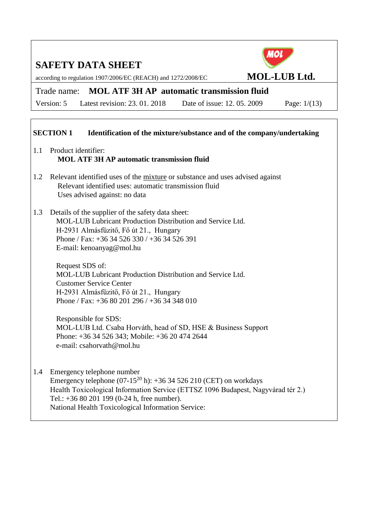according to regulation 1907/2006/EC (REACH) and 1272/2008/EC **MOL-LUB Ltd.**



Version: 5 Latest revision: 23. 01. 2018 Date of issue: 12. 05. 2009 Page: 1/(13)

### **SECTION 1 Identification of the mixture/substance and of the company/undertaking**

- 1.1 Product identifier: **MOL ATF 3H AP automatic transmission fluid**
- 1.2 Relevant identified uses of the mixture or substance and uses advised against Relevant identified uses: automatic transmission fluid Uses advised against: no data
- 1.3 Details of the supplier of the safety data sheet: MOL-LUB Lubricant Production Distribution and Service Ltd. H-2931 Almásfüzitő, Fő út 21., Hungary Phone / Fax: +36 34 526 330 / +36 34 526 391 E-mail: kenoanyag@mol.hu

Request SDS of: MOL-LUB Lubricant Production Distribution and Service Ltd. Customer Service Center H-2931 Almásfüzitő, Fő út 21., Hungary Phone / Fax: +36 80 201 296 / +36 34 348 010

Responsible for SDS: MOL-LUB Ltd. Csaba Horváth, head of SD, HSE & Business Support Phone: +36 34 526 343; Mobile: +36 20 474 2644 e-mail: csahorvath@mol.hu

1.4 Emergency telephone number Emergency telephone  $(07-15^{20} h)$ : +36 34 526 210 (CET) on workdays Health Toxicological Information Service (ETTSZ 1096 Budapest, Nagyvárad tér 2.) Tel.: +36 80 201 199 (0-24 h, free number). National Health Toxicological Information Service:

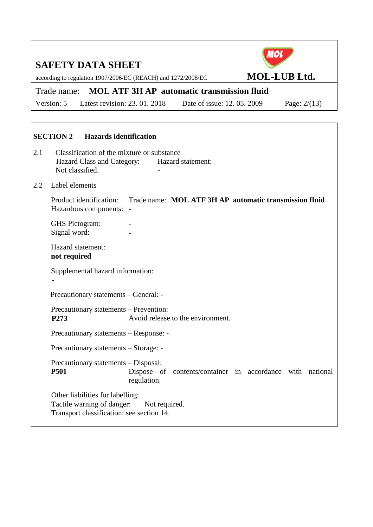according to regulation 1907/2006/EC (REACH) and 1272/2008/EC **MOL-LUB Ltd.**

### Trade name: **MOL ATF 3H AP automatic transmission fluid**

Version: 5 Latest revision: 23. 01. 2018 Date of issue: 12. 05. 2009 Page: 2/(13)

# **SECTION 2 Hazards identification** 2.1 Classification of the mixture or substance Hazard Class and Category: Hazard statement: Not classified. 2.2 Label elements Product identification: Trade name: **MOL ATF 3H AP automatic transmission fluid** Hazardous components: - GHS Pictogram: Signal word: **-** Hazard statement: **not required** Supplemental hazard information: **-** Precautionary statements – General: - Precautionary statements – Prevention: **P273** Avoid release to the environment. Precautionary statements – Response: - Precautionary statements – Storage: - Precautionary statements – Disposal: **P501** Dispose of contents/container in accordance with national regulation. Other liabilities for labelling: Tactile warning of danger: Not required. Transport classification: see section 14.

**MOL**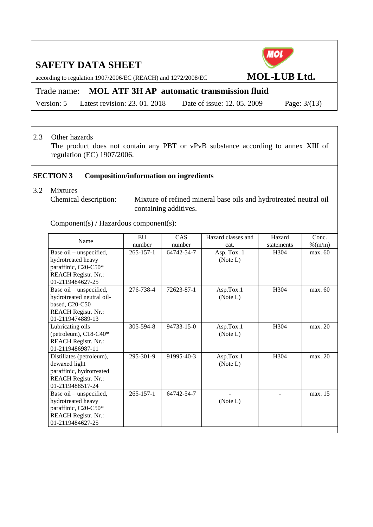according to regulation 1907/2006/EC (REACH) and 1272/2008/EC **MOL-LUB Ltd.**

Trade name: **MOL ATF 3H AP automatic transmission fluid**

Version: 5 Latest revision: 23. 01. 2018 Date of issue: 12. 05. 2009 Page: 3/(13)

#### 2.3 Other hazards

The product does not contain any PBT or vPvB substance according to annex XIII of regulation (EC) 1907/2006.

#### **SECTION 3 Composition/information on ingredients**

- 3.2 Mixtures
	-

Chemical description: Mixture of refined mineral base oils and hydrotreated neutral oil containing additives.

Component(s) / Hazardous component(s):

| Name                                                                                                                     | EU              | <b>CAS</b> | Hazard classes and      | Hazard     | Conc.     |
|--------------------------------------------------------------------------------------------------------------------------|-----------------|------------|-------------------------|------------|-----------|
|                                                                                                                          | number          | number     | cat.                    | statements | $%$ (m/m) |
| Base oil – unspecified,<br>hydrotreated heavy<br>paraffinic, C20-C50*<br><b>REACH Registr. Nr.:</b><br>01-2119484627-25  | $265 - 157 - 1$ | 64742-54-7 | Asp. Tox. 1<br>(Note L) | H304       | max. 60   |
| Base oil – unspecified,<br>hydrotreated neutral oil-<br>based, C20-C50<br><b>REACH Registr. Nr.:</b><br>01-2119474889-13 | 276-738-4       | 72623-87-1 | Asp.Tox.1<br>(Note L)   | H304       | max. 60   |
| Lubricating oils<br>(petroleum), $C18-C40*$<br><b>REACH Registr. Nr.:</b><br>01-2119486987-11                            | 305-594-8       | 94733-15-0 | Asp.Tox.1<br>(Note L)   | H304       | max. 20   |
| Distillates (petroleum),<br>dewaxed light<br>paraffinic, hydrotreated<br><b>REACH Registr. Nr.:</b><br>01-2119488517-24  | 295-301-9       | 91995-40-3 | Asp.Tox.1<br>(Note L)   | H304       | max. 20   |
| Base oil – unspecified,<br>hydrotreated heavy<br>paraffinic, C20-C50*<br><b>REACH Registr. Nr.:</b><br>01-2119484627-25  | $265 - 157 - 1$ | 64742-54-7 | (Note L)                |            | max. 15   |

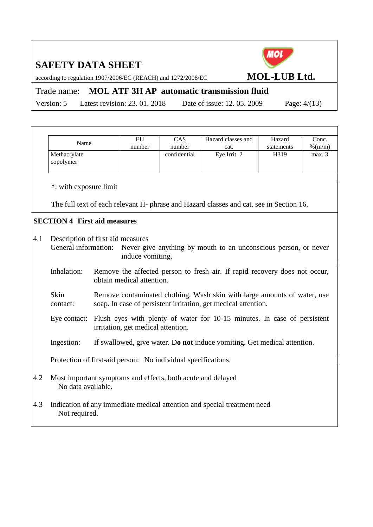**MOL** 

according to regulation 1907/2006/EC (REACH) and 1272/2008/EC **MOL-LUB Ltd.**

Trade name: **MOL ATF 3H AP automatic transmission fluid**

Version: 5 Latest revision: 23. 01. 2018 Date of issue: 12. 05. 2009 Page: 4/(13)

|     | Name                                                                              | EU                                 | CAS          | Hazard classes and                                                                                                                         | Hazard     | Conc.     |
|-----|-----------------------------------------------------------------------------------|------------------------------------|--------------|--------------------------------------------------------------------------------------------------------------------------------------------|------------|-----------|
|     |                                                                                   | number                             | number       | cat.                                                                                                                                       | statements | $%$ (m/m) |
|     | Methacrylate<br>copolymer                                                         |                                    | confidential | Eye Irrit. 2                                                                                                                               | H319       | max. 3    |
|     | *: with exposure limit                                                            |                                    |              |                                                                                                                                            |            |           |
|     |                                                                                   |                                    |              | The full text of each relevant H- phrase and Hazard classes and cat. see in Section 16.                                                    |            |           |
|     | <b>SECTION 4 First aid measures</b>                                               |                                    |              |                                                                                                                                            |            |           |
| 4.1 | Description of first aid measures<br>General information:                         | induce vomiting.                   |              | Never give anything by mouth to an unconscious person, or never                                                                            |            |           |
|     | Inhalation:                                                                       | obtain medical attention.          |              | Remove the affected person to fresh air. If rapid recovery does not occur,                                                                 |            |           |
|     | Skin<br>contact:                                                                  |                                    |              | Remove contaminated clothing. Wash skin with large amounts of water, use<br>soap. In case of persistent irritation, get medical attention. |            |           |
|     | Eye contact:                                                                      | irritation, get medical attention. |              | Flush eyes with plenty of water for 10-15 minutes. In case of persistent                                                                   |            |           |
|     | Ingestion:                                                                        |                                    |              | If swallowed, give water. Do not induce vomiting. Get medical attention.                                                                   |            |           |
|     | Protection of first-aid person: No individual specifications.                     |                                    |              |                                                                                                                                            |            |           |
| 4.2 | Most important symptoms and effects, both acute and delayed<br>No data available. |                                    |              |                                                                                                                                            |            |           |
| 4.3 | Not required.                                                                     |                                    |              | Indication of any immediate medical attention and special treatment need                                                                   |            |           |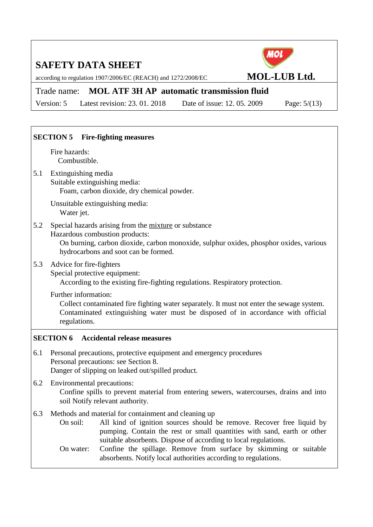according to regulation 1907/2006/EC (REACH) and 1272/2008/EC **MOL-LUB Ltd.** 

### Trade name: **MOL ATF 3H AP automatic transmission fluid**

Version: 5 Latest revision: 23. 01. 2018 Date of issue: 12. 05. 2009 Page: 5/(13)

### **SECTION 5 Fire-fighting measures** Fire hazards: Combustible. 5.1 Extinguishing media Suitable extinguishing media: Foam, carbon dioxide, dry chemical powder. Unsuitable extinguishing media: Water jet. 5.2 Special hazards arising from the mixture or substance Hazardous combustion products: On burning, carbon dioxide, carbon monoxide, sulphur oxides, phosphor oxides, various hydrocarbons and soot can be formed. 5.3 Advice for fire-fighters Special protective equipment: According to the existing fire-fighting regulations. Respiratory protection. Further information: Collect contaminated fire fighting water separately. It must not enter the sewage system. Contaminated extinguishing water must be disposed of in accordance with official regulations. **SECTION 6 Accidental release measures** 6.1 Personal precautions, protective equipment and emergency procedures Personal precautions: see Section 8. Danger of slipping on leaked out/spilled product. 6.2 Environmental precautions: Confine spills to prevent material from entering sewers, watercourses, drains and into soil Notify relevant authority. 6.3 Methods and material for containment and cleaning up On soil: All kind of ignition sources should be remove. Recover free liquid by pumping. Contain the rest or small quantities with sand, earth or other suitable absorbents. Dispose of according to local regulations. On water: Confine the spillage. Remove from surface by skimming or suitable absorbents. Notify local authorities according to regulations.

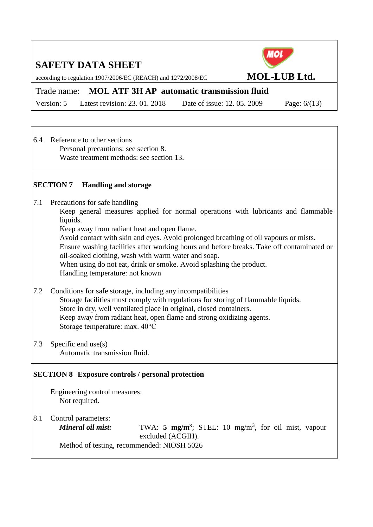according to regulation 1907/2006/EC (REACH) and 1272/2008/EC **MOL-LUB Ltd.** 

Trade name: **MOL ATF 3H AP automatic transmission fluid**

Version: 5 Latest revision: 23. 01. 2018 Date of issue: 12. 05. 2009 Page: 6/(13)

MOL

6.4 Reference to other sections Personal precautions: see section 8. Waste treatment methods: see section 13.

### **SECTION 7 Handling and storage**

7.1 Precautions for safe handling

Keep general measures applied for normal operations with lubricants and flammable liquids.

Keep away from radiant heat and open flame.

Avoid contact with skin and eyes. Avoid prolonged breathing of oil vapours or mists.

Ensure washing facilities after working hours and before breaks. Take off contaminated or oil-soaked clothing, wash with warm water and soap.

When using do not eat, drink or smoke. Avoid splashing the product.

Handling temperature: not known

- 7.2 Conditions for safe storage, including any incompatibilities Storage facilities must comply with regulations for storing of flammable liquids. Store in dry, well ventilated place in original, closed containers. Keep away from radiant heat, open flame and strong oxidizing agents. Storage temperature: max. 40°C
- 7.3 Specific end use(s) Automatic transmission fluid.

#### **SECTION 8 Exposure controls / personal protection**

Engineering control measures: Not required.

8.1 Control parameters:

*Mineral oil mist:* TWA: 5 mg/m<sup>3</sup>; STEL: 10 mg/m<sup>3</sup>, for oil mist, vapour excluded (ACGIH).

Method of testing, recommended: NIOSH 5026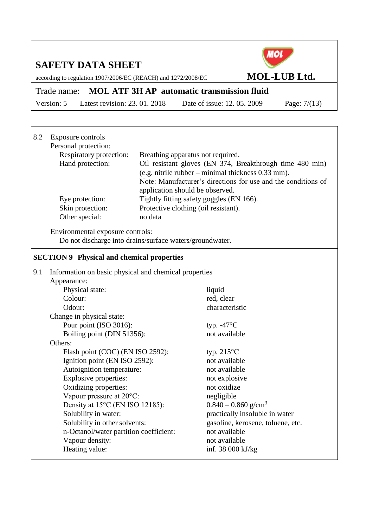according to regulation 1907/2006/EC (REACH) and 1272/2008/EC **MOL-LUB Ltd.**

Trade name: **MOL ATF 3H AP automatic transmission fluid**

Version: 5 Latest revision: 23. 01. 2018 Date of issue: 12. 05. 2009 Page: 7/(13)

| 8.2 | Exposure controls<br>Personal protection:<br>Respiratory protection:<br>Hand protection:<br>Eye protection:<br>Skin protection:<br>Other special: | application should be observed.<br>no data | Breathing apparatus not required.<br>Oil resistant gloves (EN 374, Breakthrough time 480 min)<br>(e.g. nitrile rubber – minimal thickness 0.33 mm).<br>Note: Manufacturer's directions for use and the conditions of<br>Tightly fitting safety goggles (EN 166).<br>Protective clothing (oil resistant). |
|-----|---------------------------------------------------------------------------------------------------------------------------------------------------|--------------------------------------------|----------------------------------------------------------------------------------------------------------------------------------------------------------------------------------------------------------------------------------------------------------------------------------------------------------|
|     | Environmental exposure controls:<br>Do not discharge into drains/surface waters/groundwater.                                                      |                                            |                                                                                                                                                                                                                                                                                                          |
|     | <b>SECTION 9 Physical and chemical properties</b>                                                                                                 |                                            |                                                                                                                                                                                                                                                                                                          |
| 9.1 | Information on basic physical and chemical properties                                                                                             |                                            |                                                                                                                                                                                                                                                                                                          |
|     | Appearance:                                                                                                                                       |                                            |                                                                                                                                                                                                                                                                                                          |
|     | Physical state:                                                                                                                                   |                                            | liquid                                                                                                                                                                                                                                                                                                   |
|     | Colour:                                                                                                                                           |                                            | red, clear                                                                                                                                                                                                                                                                                               |
|     | Odour:                                                                                                                                            |                                            | characteristic                                                                                                                                                                                                                                                                                           |
|     | Change in physical state:                                                                                                                         |                                            |                                                                                                                                                                                                                                                                                                          |
|     | Pour point (ISO 3016):                                                                                                                            |                                            | typ. $-47^{\circ}$ C                                                                                                                                                                                                                                                                                     |
|     | Boiling point (DIN 51356):                                                                                                                        |                                            | not available                                                                                                                                                                                                                                                                                            |
|     | Others:                                                                                                                                           |                                            |                                                                                                                                                                                                                                                                                                          |
|     | Flash point (COC) (EN ISO 2592):                                                                                                                  |                                            | typ. $215^{\circ}$ C                                                                                                                                                                                                                                                                                     |
|     | Ignition point (EN ISO 2592):                                                                                                                     |                                            | not available                                                                                                                                                                                                                                                                                            |
|     | Autoignition temperature:                                                                                                                         |                                            | not available                                                                                                                                                                                                                                                                                            |
|     | Explosive properties:                                                                                                                             |                                            | not explosive                                                                                                                                                                                                                                                                                            |
|     | Oxidizing properties:                                                                                                                             |                                            | not oxidize                                                                                                                                                                                                                                                                                              |
|     | Vapour pressure at 20°C:                                                                                                                          |                                            | negligible                                                                                                                                                                                                                                                                                               |
|     | Density at 15°C (EN ISO 12185):                                                                                                                   |                                            | $0.840 - 0.860$ g/cm <sup>3</sup>                                                                                                                                                                                                                                                                        |
|     | Solubility in water:                                                                                                                              |                                            | practically insoluble in water                                                                                                                                                                                                                                                                           |
|     | Solubility in other solvents:                                                                                                                     |                                            | gasoline, kerosene, toluene, etc.                                                                                                                                                                                                                                                                        |
|     | n-Octanol/water partition coefficient:                                                                                                            |                                            | not available                                                                                                                                                                                                                                                                                            |
|     | Vapour density:                                                                                                                                   |                                            | not available                                                                                                                                                                                                                                                                                            |
|     | Heating value:                                                                                                                                    |                                            | inf. 38 000 kJ/kg                                                                                                                                                                                                                                                                                        |

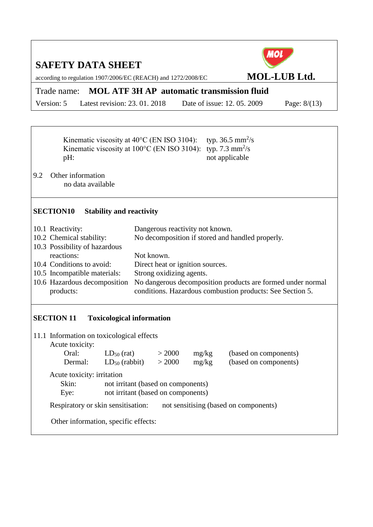| <b>SAFETY DATA SHEET</b><br>according to regulation 1907/2006/EC (REACH) and 1272/2008/EC        |                                                           |       |                                                           | MOI                   | <b>MOL-LUB Ltd.</b>                                         |
|--------------------------------------------------------------------------------------------------|-----------------------------------------------------------|-------|-----------------------------------------------------------|-----------------------|-------------------------------------------------------------|
|                                                                                                  |                                                           |       |                                                           |                       |                                                             |
| Trade name: MOL ATF 3H AP automatic transmission fluid                                           |                                                           |       |                                                           |                       |                                                             |
| Latest revision: 23.01.2018<br>Version: 5                                                        |                                                           |       | Date of issue: 12, 05, 2009                               |                       | Page: $8/(13)$                                              |
|                                                                                                  |                                                           |       |                                                           |                       |                                                             |
|                                                                                                  |                                                           |       |                                                           |                       |                                                             |
| Kinematic viscosity at 40°C (EN ISO 3104):<br>Kinematic viscosity at 100°C (EN ISO 3104):<br>pH: |                                                           |       | typ. 36.5 $mm^2/s$<br>typ. 7.3 $mm^2/s$<br>not applicable |                       |                                                             |
| 9.2<br>Other information<br>no data available                                                    |                                                           |       |                                                           |                       |                                                             |
| <b>SECTION10</b><br><b>Stability and reactivity</b>                                              |                                                           |       |                                                           |                       |                                                             |
| 10.1 Reactivity:                                                                                 | Dangerous reactivity not known.                           |       |                                                           |                       |                                                             |
| 10.2 Chemical stability:                                                                         | No decomposition if stored and handled properly.          |       |                                                           |                       |                                                             |
| 10.3 Possibility of hazardous                                                                    |                                                           |       |                                                           |                       |                                                             |
| reactions:                                                                                       | Not known.                                                |       |                                                           |                       |                                                             |
| 10.4 Conditions to avoid:                                                                        | Direct heat or ignition sources.                          |       |                                                           |                       |                                                             |
| 10.5 Incompatible materials:<br>10.6 Hazardous decomposition                                     | Strong oxidizing agents.                                  |       |                                                           |                       | No dangerous decomposition products are formed under normal |
| products:                                                                                        | conditions. Hazardous combustion products: See Section 5. |       |                                                           |                       |                                                             |
| <b>Toxicological information</b><br><b>SECTION 11</b>                                            |                                                           |       |                                                           |                       |                                                             |
| 11.1 Information on toxicological effects<br>Acute toxicity:                                     |                                                           |       |                                                           |                       |                                                             |
| Oral:<br>$LD_{50}$ (rat)                                                                         | > 2000                                                    | mg/kg |                                                           | (based on components) |                                                             |
| Dermal:<br>$LD_{50}$ (rabbit)                                                                    | > 2000                                                    | mg/kg |                                                           | (based on components) |                                                             |
| Acute toxicity: irritation                                                                       |                                                           |       |                                                           |                       |                                                             |

Skin: not irritant (based on components)

Eye: not irritant (based on components)

Respiratory or skin sensitisation: not sensitising (based on components)

Other information, specific effects: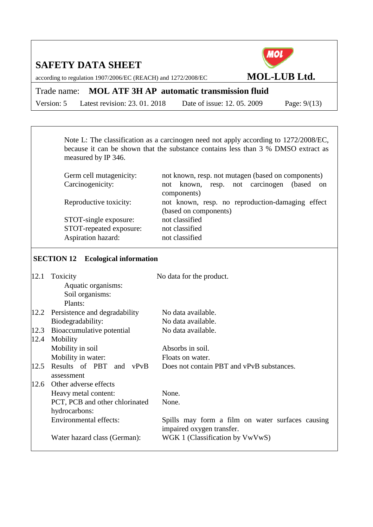according to regulation 1907/2006/EC (REACH) and 1272/2008/EC **MOL-LUB Ltd.**

Trade name: **MOL ATF 3H AP automatic transmission fluid**

Version: 5 Latest revision: 23. 01. 2018 Date of issue: 12. 05. 2009 Page: 9/(13)

**MOL** 

Note L: The classification as a carcinogen need not apply according to 1272/2008/EC, because it can be shown that the substance contains less than 3 % DMSO extract as measured by IP 346.

| Germ cell mutagenicity: | not known, resp. not mutagen (based on components)  |  |  |  |
|-------------------------|-----------------------------------------------------|--|--|--|
| Carcinogenicity:        | resp. not carcinogen<br>(based)<br>not known,<br>on |  |  |  |
|                         | components)                                         |  |  |  |
| Reproductive toxicity:  | not known, resp. no reproduction-damaging effect    |  |  |  |
|                         | (based on components)                               |  |  |  |
| STOT-single exposure:   | not classified                                      |  |  |  |
| STOT-repeated exposure: | not classified                                      |  |  |  |
| Aspiration hazard:      | not classified                                      |  |  |  |
|                         |                                                     |  |  |  |

#### **SECTION 12 Ecological information**

| 12.1 | Toxicity                       | No data for the product.                                                      |
|------|--------------------------------|-------------------------------------------------------------------------------|
|      | Aquatic organisms:             |                                                                               |
|      | Soil organisms:                |                                                                               |
|      | Plants:                        |                                                                               |
| 12.2 | Persistence and degradability  | No data available.                                                            |
|      | Biodegradability:              | No data available.                                                            |
| 12.3 | Bioaccumulative potential      | No data available.                                                            |
| 12.4 | Mobility                       |                                                                               |
|      | Mobility in soil               | Absorbs in soil.                                                              |
|      | Mobility in water:             | Floats on water.                                                              |
| 12.5 | Results of PBT and vPvB        | Does not contain PBT and vPvB substances.                                     |
|      | assessment                     |                                                                               |
| 12.6 | Other adverse effects          |                                                                               |
|      | Heavy metal content:           | None.                                                                         |
|      | PCT, PCB and other chlorinated | None.                                                                         |
|      | hydrocarbons:                  |                                                                               |
|      | <b>Environmental effects:</b>  | Spills may form a film on water surfaces causing<br>impaired oxygen transfer. |
|      | Water hazard class (German):   | WGK 1 (Classification by VwVwS)                                               |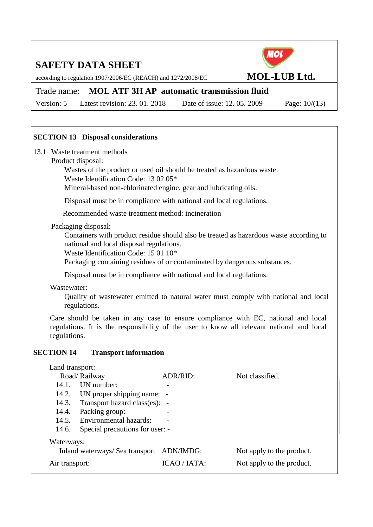according to regulation 1907/2006/EC (REACH) and 1272/2008/EC **MOL-LUB Ltd.** 

### Trade name: **MOL ATF 3H AP automatic transmission fluid**

Version: 5 Latest revision: 23. 01. 2018 Date of issue: 12. 05. 2009 Page: 10/(13)

#### **SECTION 13 Disposal considerations**

- 13.1 Waste treatment methods
- Product disposal:

Wastes of the product or used oil should be treated as hazardous waste.

Waste Identification Code: 13 02 05\*

Mineral-based non-chlorinated engine, gear and lubricating oils.

Disposal must be in compliance with national and local regulations.

Recommended waste treatment method: incineration

#### Packaging disposal:

Containers with product residue should also be treated as hazardous waste according to national and local disposal regulations.

Waste Identification Code: 15 01 10\*

Packaging containing residues of or contaminated by dangerous substances.

Disposal must be in compliance with national and local regulations.

Wastewater:

Quality of wastewater emitted to natural water must comply with national and local regulations.

Care should be taken in any case to ensure compliance with EC, national and local regulations. It is the responsibility of the user to know all relevant national and local regulations.

#### **SECTION 14 Transport information**

|                                           | Land transport:                     |              |                           |  |  |  |
|-------------------------------------------|-------------------------------------|--------------|---------------------------|--|--|--|
|                                           | Road/Railway                        | ADR/RID:     | Not classified.           |  |  |  |
| 14.1.                                     | <b>IJN</b> number:                  |              |                           |  |  |  |
| 14.2.                                     | UN proper shipping name: -          |              |                           |  |  |  |
|                                           | 14.3. Transport hazard class(es): - |              |                           |  |  |  |
| 14.4.                                     | Packing group:                      |              |                           |  |  |  |
|                                           | 14.5. Environmental hazards:        |              |                           |  |  |  |
| 14.6.                                     | Special precautions for user: -     |              |                           |  |  |  |
|                                           | Waterways:                          |              |                           |  |  |  |
| Inland waterways/ Sea transport ADN/IMDG: |                                     |              | Not apply to the product. |  |  |  |
| Air transport:                            |                                     | ICAO / IATA: | Not apply to the product. |  |  |  |

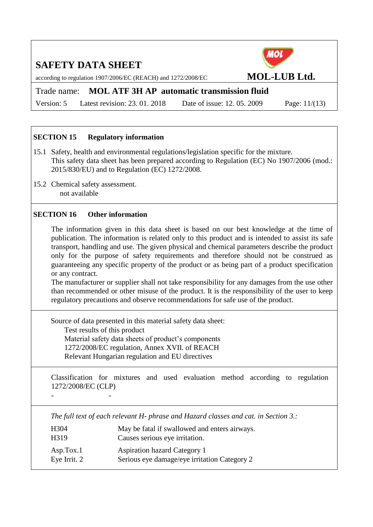according to regulation 1907/2006/EC (REACH) and 1272/2008/EC **MOL-LUB Ltd.** 

### Trade name: **MOL ATF 3H AP automatic transmission fluid**

Version: 5 Latest revision: 23. 01. 2018 Date of issue: 12. 05. 2009 Page: 11/(13)

#### **SECTION 15 Regulatory information**

- 15.1 Safety, health and environmental regulations/legislation specific for the mixture. This safety data sheet has been prepared according to Regulation (EC) No 1907/2006 (mod.: 2015/830/EU) and to Regulation (EC) 1272/2008.
- 15.2 Chemical safety assessment. not available

#### **SECTION 16 Other information**

- -

The information given in this data sheet is based on our best knowledge at the time of publication. The information is related only to this product and is intended to assist its safe transport, handling and use. The given physical and chemical parameters describe the product only for the purpose of safety requirements and therefore should not be construed as guaranteeing any specific property of the product or as being part of a product specification or any contract.

The manufacturer or supplier shall not take responsibility for any damages from the use other than recommended or other misuse of the product. It is the responsibility of the user to keep regulatory precautions and observe recommendations for safe use of the product.

Source of data presented in this material safety data sheet: Test results of this product Material safety data sheets of product's components

1272/2008/EC regulation, Annex XVII. of REACH Relevant Hungarian regulation and EU directives

Classification for mixtures and used evaluation method according to regulation 1272/2008/EC (CLP)

*The full text of each relevant H- phrase and Hazard classes and cat. in Section 3.:*

| H304         | May be fatal if swallowed and enters airways. |
|--------------|-----------------------------------------------|
| H319         | Causes serious eye irritation.                |
| Asp.Tox.1    | <b>Aspiration hazard Category 1</b>           |
| Eye Irrit. 2 | Serious eye damage/eye irritation Category 2  |

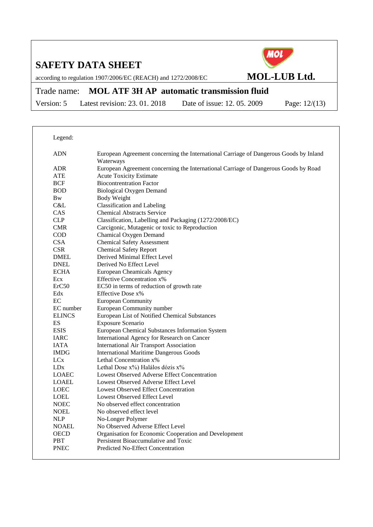Legend:



according to regulation 1907/2006/EC (REACH) and 1272/2008/EC **MOL-LUB Ltd.** 

# Trade name: **MOL ATF 3H AP automatic transmission fluid**

Version: 5 Latest revision: 23. 01. 2018 Date of issue: 12. 05. 2009 Page: 12/(13)

| Legenu.            |                                                                                                    |
|--------------------|----------------------------------------------------------------------------------------------------|
| <b>ADN</b>         | European Agreement concerning the International Carriage of Dangerous Goods by Inland<br>Waterways |
| ADR                | European Agreement concerning the International Carriage of Dangerous Goods by Road                |
| ATE                | <b>Acute Toxicity Estimate</b>                                                                     |
| <b>BCF</b>         | <b>Biocontrentration Factor</b>                                                                    |
| <b>BOD</b>         | <b>Biological Oxygen Demand</b>                                                                    |
| <b>Bw</b>          | Body Weight                                                                                        |
| C&L                | <b>Classification and Labeling</b>                                                                 |
| <b>CAS</b>         | <b>Chemical Abstracts Service</b>                                                                  |
| CLP                | Classification, Labelling and Packaging (1272/2008/EC)                                             |
| <b>CMR</b>         | Carcigonic, Mutagenic or toxic to Reproduction                                                     |
| <b>COD</b>         | Chamical Oxygen Demand                                                                             |
| <b>CSA</b>         | <b>Chemical Safety Assessment</b>                                                                  |
| <b>CSR</b>         | <b>Chemical Safety Report</b>                                                                      |
| <b>DMEL</b>        | Derived Minimal Effect Level                                                                       |
| <b>DNEL</b>        | Derived No Effect Level                                                                            |
| <b>ECHA</b>        | European Cheamicals Agency                                                                         |
| Ecx                | <b>Effective Concentration x%</b>                                                                  |
| ErC50              | EC50 in terms of reduction of growth rate                                                          |
| Edx                | Effective Dose x%                                                                                  |
| EC                 | <b>European Community</b>                                                                          |
| EC number          | European Community number                                                                          |
| <b>ELINCS</b>      | European List of Notified Chemical Substances                                                      |
| ES                 | Exposure Scenario                                                                                  |
| <b>ESIS</b>        | European Chemical Substances Information System                                                    |
| <b>IARC</b>        | International Agency for Research on Cancer                                                        |
| <b>IATA</b>        | <b>International Air Transport Association</b>                                                     |
| <b>IMDG</b>        | <b>International Maritime Dangerous Goods</b>                                                      |
| LC <sub>x</sub>    | Lethal Concentration x%                                                                            |
| LD <sub>x</sub>    | Lethal Dose x%) Halálos dózis x%                                                                   |
| <b>LOAEC</b>       | Lowest Observed Adverse Effect Concentration                                                       |
| <b>LOAEL</b>       | Lowest Observed Adverse Effect Level                                                               |
| <b>LOEC</b>        | <b>Lowest Observed Effect Concentration</b>                                                        |
| <b>LOEL</b>        | Lowest Observed Effect Level                                                                       |
| <b>NOEC</b>        | No observed effect concentration                                                                   |
| <b>NOEL</b>        | No observed effect level                                                                           |
| <b>NLP</b>         | No-Longer Polymer                                                                                  |
| <b>NOAEL</b>       | No Observed Adverse Effect Level                                                                   |
| <b>OECD</b>        | Organisation for Economic Cooperation and Development                                              |
| PBT<br><b>PNEC</b> | Persistent Bioaccumulative and Toxic<br>Predicted No-Effect Concentration                          |
|                    |                                                                                                    |
|                    |                                                                                                    |